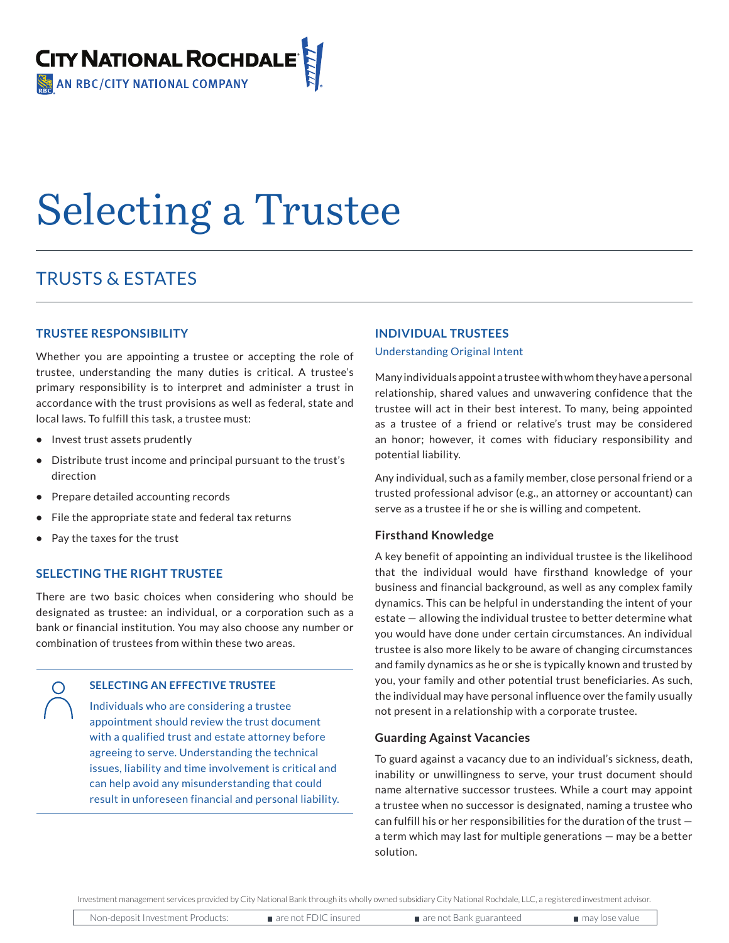

# Selecting a Trustee

# TRUSTS & ESTATES

# **TRUSTEE RESPONSIBILITY**

Whether you are appointing a trustee or accepting the role of trustee, understanding the many duties is critical. A trustee's primary responsibility is to interpret and administer a trust in accordance with the trust provisions as well as federal, state and local laws. To fulfill this task, a trustee must:

- **•** Invest trust assets prudently
- **•** Distribute trust income and principal pursuant to the trust's direction
- **•** Prepare detailed accounting records
- **•** File the appropriate state and federal tax returns
- **•** Pay the taxes for the trust

# **SELECTING THE RIGHT TRUSTEE**

There are two basic choices when considering who should be designated as trustee: an individual, or a corporation such as a bank or financial institution. You may also choose any number or combination of trustees from within these two areas.

# **SELECTING AN EFFECTIVE TRUSTEE**

Individuals who are considering a trustee appointment should review the trust document with a qualified trust and estate attorney before agreeing to serve. Understanding the technical issues, liability and time involvement is critical and can help avoid any misunderstanding that could result in unforeseen financial and personal liability.

# **INDIVIDUAL TRUSTEES**

## Understanding Original Intent

Many individuals appoint a trustee with whom they have a personal relationship, shared values and unwavering confidence that the trustee will act in their best interest. To many, being appointed as a trustee of a friend or relative's trust may be considered an honor; however, it comes with fiduciary responsibility and potential liability.

Any individual, such as a family member, close personal friend or a trusted professional advisor (e.g., an attorney or accountant) can serve as a trustee if he or she is willing and competent.

# **Firsthand Knowledge**

A key benefit of appointing an individual trustee is the likelihood that the individual would have firsthand knowledge of your business and financial background, as well as any complex family dynamics. This can be helpful in understanding the intent of your estate — allowing the individual trustee to better determine what you would have done under certain circumstances. An individual trustee is also more likely to be aware of changing circumstances and family dynamics as he or she is typically known and trusted by you, your family and other potential trust beneficiaries. As such, the individual may have personal influence over the family usually not present in a relationship with a corporate trustee.

# **Guarding Against Vacancies**

To guard against a vacancy due to an individual's sickness, death, inability or unwillingness to serve, your trust document should name alternative successor trustees. While a court may appoint a trustee when no successor is designated, naming a trustee who can fulfill his or her responsibilities for the duration of the trust a term which may last for multiple generations — may be a better solution.

Investment management services provided by City National Bank through its wholly owned subsidiary City National Rochdale, LLC, a registered investment advisor.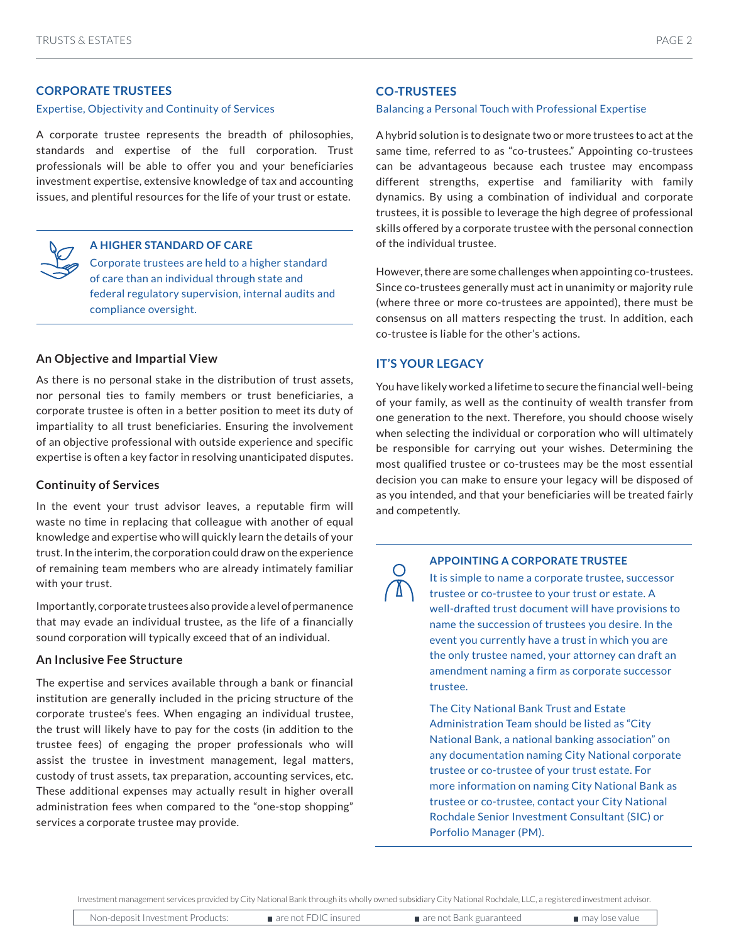# **CORPORATE TRUSTEES**

#### Expertise, Objectivity and Continuity of Services

A corporate trustee represents the breadth of philosophies, standards and expertise of the full corporation. Trust professionals will be able to offer you and your beneficiaries investment expertise, extensive knowledge of tax and accounting issues, and plentiful resources for the life of your trust or estate.

#### **A HIGHER STANDARD OF CARE**

Corporate trustees are held to a higher standard of care than an individual through state and federal regulatory supervision, internal audits and compliance oversight.

#### **An Objective and Impartial View**

As there is no personal stake in the distribution of trust assets, nor personal ties to family members or trust beneficiaries, a corporate trustee is often in a better position to meet its duty of impartiality to all trust beneficiaries. Ensuring the involvement of an objective professional with outside experience and specific expertise is often a key factor in resolving unanticipated disputes.

## **Continuity of Services**

In the event your trust advisor leaves, a reputable firm will waste no time in replacing that colleague with another of equal knowledge and expertise who will quickly learn the details of your trust. In the interim, the corporation could draw on the experience of remaining team members who are already intimately familiar with your trust.

Importantly, corporate trustees also provide a level of permanence that may evade an individual trustee, as the life of a financially sound corporation will typically exceed that of an individual.

# **An Inclusive Fee Structure**

The expertise and services available through a bank or financial institution are generally included in the pricing structure of the corporate trustee's fees. When engaging an individual trustee, the trust will likely have to pay for the costs (in addition to the trustee fees) of engaging the proper professionals who will assist the trustee in investment management, legal matters, custody of trust assets, tax preparation, accounting services, etc. These additional expenses may actually result in higher overall administration fees when compared to the "one-stop shopping" services a corporate trustee may provide.

# **CO-TRUSTEES**

#### Balancing a Personal Touch with Professional Expertise

A hybrid solution is to designate two or more trustees to act at the same time, referred to as "co-trustees." Appointing co-trustees can be advantageous because each trustee may encompass different strengths, expertise and familiarity with family dynamics. By using a combination of individual and corporate trustees, it is possible to leverage the high degree of professional skills offered by a corporate trustee with the personal connection of the individual trustee.

However, there are some challenges when appointing co-trustees. Since co-trustees generally must act in unanimity or majority rule (where three or more co-trustees are appointed), there must be consensus on all matters respecting the trust. In addition, each co-trustee is liable for the other's actions.

# **IT'S YOUR LEGACY**

You have likely worked a lifetime to secure the financial well-being of your family, as well as the continuity of wealth transfer from one generation to the next. Therefore, you should choose wisely when selecting the individual or corporation who will ultimately be responsible for carrying out your wishes. Determining the most qualified trustee or co-trustees may be the most essential decision you can make to ensure your legacy will be disposed of as you intended, and that your beneficiaries will be treated fairly and competently.

# **APPOINTING A CORPORATE TRUSTEE**

It is simple to name a corporate trustee, successor trustee or co-trustee to your trust or estate. A well-drafted trust document will have provisions to name the succession of trustees you desire. In the event you currently have a trust in which you are the only trustee named, your attorney can draft an amendment naming a firm as corporate successor trustee.

The City National Bank Trust and Estate Administration Team should be listed as "City National Bank, a national banking association" on any documentation naming City National corporate trustee or co-trustee of your trust estate. For more information on naming City National Bank as trustee or co-trustee, contact your City National Rochdale Senior Investment Consultant (SIC) or Porfolio Manager (PM).

Investment management services provided by City National Bank through its wholly owned subsidiary City National Rochdale, LLC, a registered investment advisor.